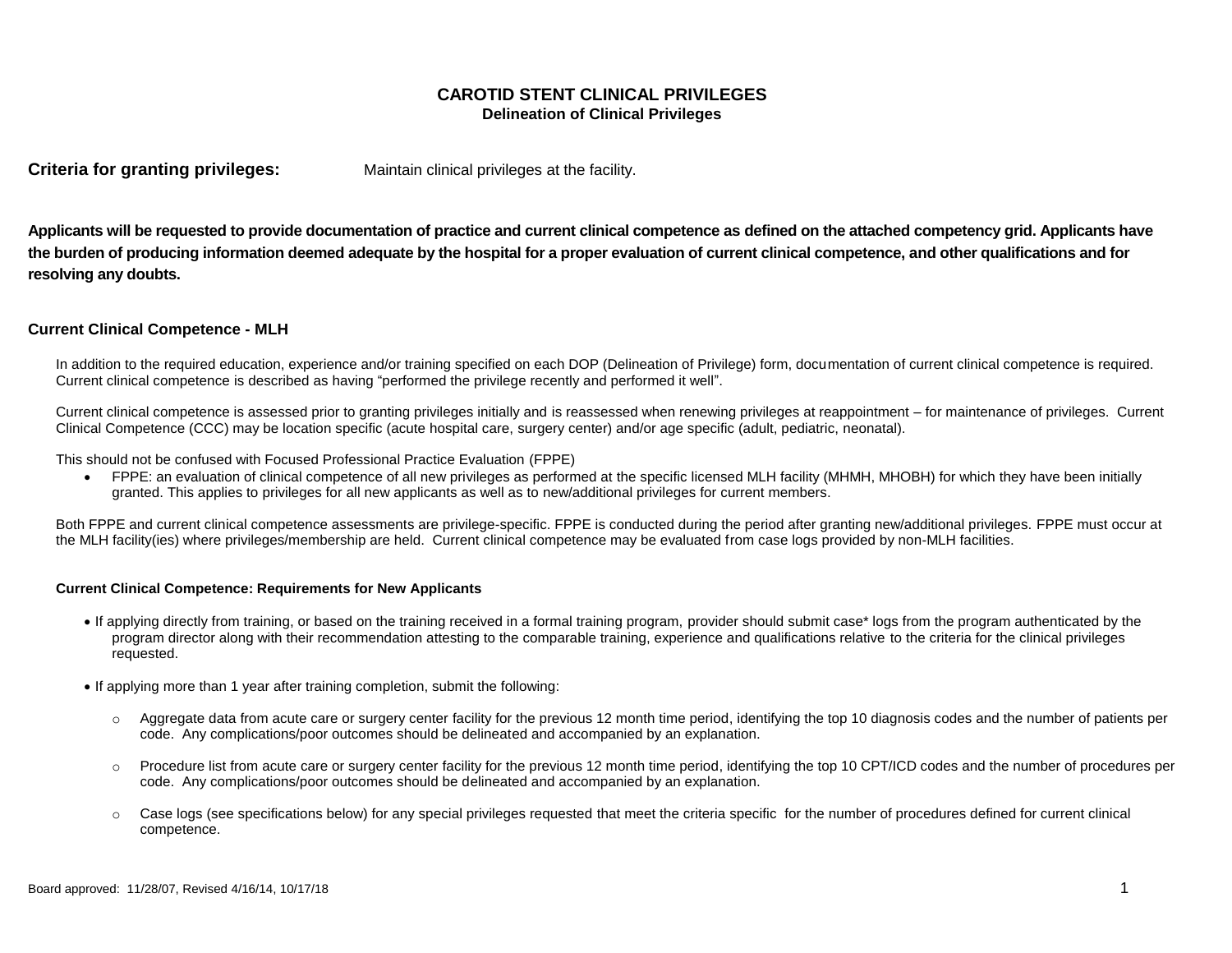# **CAROTID STENT CLINICAL PRIVILEGES Delineation of Clinical Privileges**

**Criteria for granting privileges:** Maintain clinical privileges at the facility.

**Applicants will be requested to provide documentation of practice and current clinical competence as defined on the attached competency grid. Applicants have the burden of producing information deemed adequate by the hospital for a proper evaluation of current clinical competence, and other qualifications and for resolving any doubts.**

# **Current Clinical Competence - MLH**

In addition to the required education, experience and/or training specified on each DOP (Delineation of Privilege) form, documentation of current clinical competence is required. Current clinical competence is described as having "performed the privilege recently and performed it well".

Current clinical competence is assessed prior to granting privileges initially and is reassessed when renewing privileges at reappointment – for maintenance of privileges. Current Clinical Competence (CCC) may be location specific (acute hospital care, surgery center) and/or age specific (adult, pediatric, neonatal).

This should not be confused with Focused Professional Practice Evaluation (FPPE)

 FPPE: an evaluation of clinical competence of all new privileges as performed at the specific licensed MLH facility (MHMH, MHOBH) for which they have been initially granted. This applies to privileges for all new applicants as well as to new/additional privileges for current members.

Both FPPE and current clinical competence assessments are privilege-specific. FPPE is conducted during the period after granting new/additional privileges. FPPE must occur at the MLH facility(ies) where privileges/membership are held. Current clinical competence may be evaluated from case logs provided by non-MLH facilities.

## **Current Clinical Competence: Requirements for New Applicants**

- If applying directly from training, or based on the training received in a formal training program, provider should submit case\* logs from the program authenticated by the program director along with their recommendation attesting to the comparable training, experience and qualifications relative to the criteria for the clinical privileges requested.
- If applying more than 1 year after training completion, submit the following:
	- o Aggregate data from acute care or surgery center facility for the previous 12 month time period, identifying the top 10 diagnosis codes and the number of patients per code. Any complications/poor outcomes should be delineated and accompanied by an explanation.
	- o Procedure list from acute care or surgery center facility for the previous 12 month time period, identifying the top 10 CPT/ICD codes and the number of procedures per code. Any complications/poor outcomes should be delineated and accompanied by an explanation.
	- o Case logs (see specifications below) for any special privileges requested that meet the criteria specific for the number of procedures defined for current clinical competence.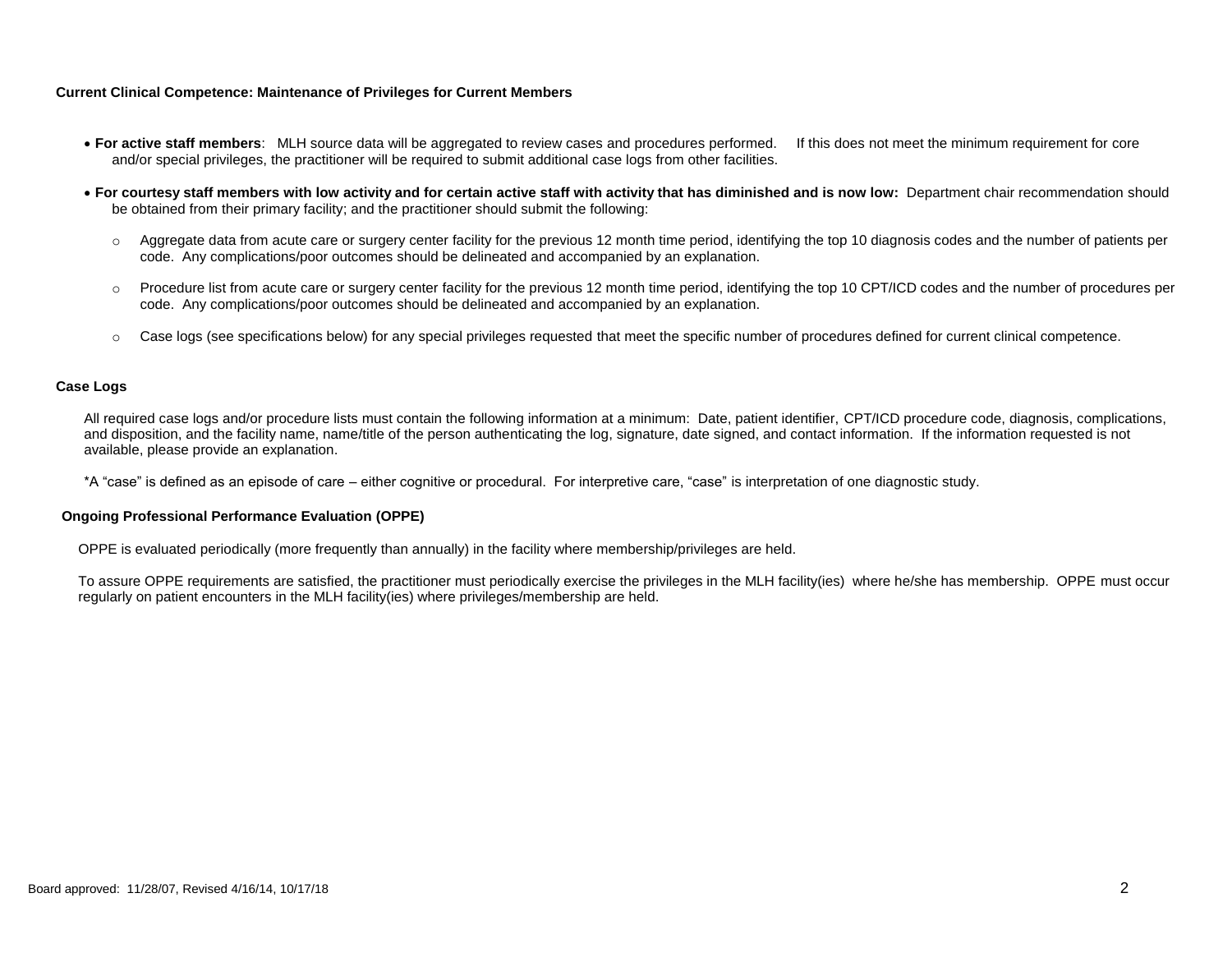### **Current Clinical Competence: Maintenance of Privileges for Current Members**

- **For active staff members**: MLH source data will be aggregated to review cases and procedures performed. If this does not meet the minimum requirement for core and/or special privileges, the practitioner will be required to submit additional case logs from other facilities.
- **For courtesy staff members with low activity and for certain active staff with activity that has diminished and is now low:** Department chair recommendation should be obtained from their primary facility; and the practitioner should submit the following:
	- $\circ$  Aggregate data from acute care or surgery center facility for the previous 12 month time period, identifying the top 10 diagnosis codes and the number of patients per code. Any complications/poor outcomes should be delineated and accompanied by an explanation.
	- Procedure list from acute care or surgery center facility for the previous 12 month time period, identifying the top 10 CPT/ICD codes and the number of procedures per code. Any complications/poor outcomes should be delineated and accompanied by an explanation.
	- o Case logs (see specifications below) for any special privileges requested that meet the specific number of procedures defined for current clinical competence.

#### **Case Logs**

All required case logs and/or procedure lists must contain the following information at a minimum: Date, patient identifier, CPT/ICD procedure code, diagnosis, complications, and disposition, and the facility name, name/title of the person authenticating the log, signature, date signed, and contact information. If the information requested is not available, please provide an explanation.

\*A "case" is defined as an episode of care – either cognitive or procedural. For interpretive care, "case" is interpretation of one diagnostic study.

#### **Ongoing Professional Performance Evaluation (OPPE)**

OPPE is evaluated periodically (more frequently than annually) in the facility where membership/privileges are held.

To assure OPPE requirements are satisfied, the practitioner must periodically exercise the privileges in the MLH facility(ies) where he/she has membership. OPPE must occur regularly on patient encounters in the MLH facility(ies) where privileges/membership are held.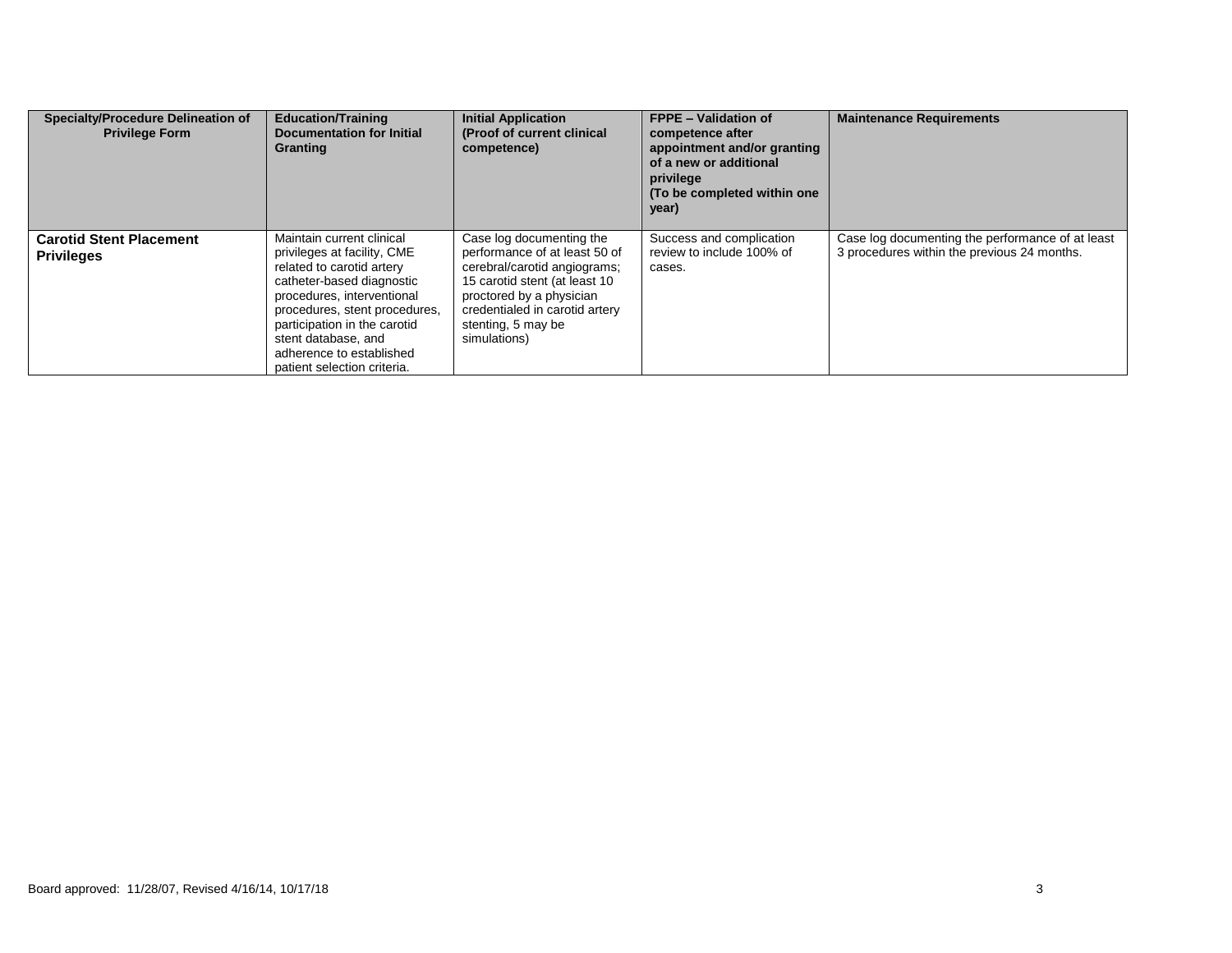| <b>Specialty/Procedure Delineation of</b><br><b>Privilege Form</b> | <b>Education/Training</b><br><b>Documentation for Initial</b><br>Granting                                                                                                                                                                                                                           | <b>Initial Application</b><br>(Proof of current clinical<br>competence)                                                                                                                                                        | <b>FPPE - Validation of</b><br>competence after<br>appointment and/or granting<br>of a new or additional<br>privilege<br>(To be completed within one)<br>year) | <b>Maintenance Requirements</b>                                                                 |
|--------------------------------------------------------------------|-----------------------------------------------------------------------------------------------------------------------------------------------------------------------------------------------------------------------------------------------------------------------------------------------------|--------------------------------------------------------------------------------------------------------------------------------------------------------------------------------------------------------------------------------|----------------------------------------------------------------------------------------------------------------------------------------------------------------|-------------------------------------------------------------------------------------------------|
| <b>Carotid Stent Placement</b><br><b>Privileges</b>                | Maintain current clinical<br>privileges at facility, CME<br>related to carotid artery<br>catheter-based diagnostic<br>procedures, interventional<br>procedures, stent procedures,<br>participation in the carotid<br>stent database, and<br>adherence to established<br>patient selection criteria. | Case log documenting the<br>performance of at least 50 of<br>cerebral/carotid angiograms;<br>15 carotid stent (at least 10<br>proctored by a physician<br>credentialed in carotid artery<br>stenting, 5 may be<br>simulations) | Success and complication<br>review to include 100% of<br>cases.                                                                                                | Case log documenting the performance of at least<br>3 procedures within the previous 24 months. |